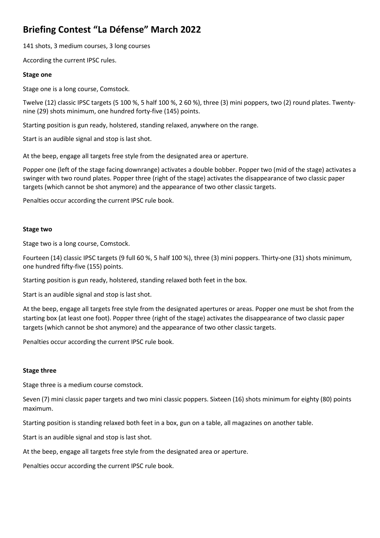# **Briefing Contest "La Défense" March 2022**

141 shots, 3 medium courses, 3 long courses

According the current IPSC rules.

## **Stage one**

Stage one is a long course, Comstock.

Twelve (12) classic IPSC targets (5 100 %, 5 half 100 %, 2 60 %), three (3) mini poppers, two (2) round plates. Twentynine (29) shots minimum, one hundred forty-five (145) points.

Starting position is gun ready, holstered, standing relaxed, anywhere on the range.

Start is an audible signal and stop is last shot.

At the beep, engage all targets free style from the designated area or aperture.

Popper one (left of the stage facing downrange) activates a double bobber. Popper two (mid of the stage) activates a swinger with two round plates. Popper three (right of the stage) activates the disappearance of two classic paper targets (which cannot be shot anymore) and the appearance of two other classic targets.

Penalties occur according the current IPSC rule book.

## **Stage two**

Stage two is a long course, Comstock.

Fourteen (14) classic IPSC targets (9 full 60 %, 5 half 100 %), three (3) mini poppers. Thirty-one (31) shots minimum, one hundred fifty-five (155) points.

Starting position is gun ready, holstered, standing relaxed both feet in the box.

Start is an audible signal and stop is last shot.

At the beep, engage all targets free style from the designated apertures or areas. Popper one must be shot from the starting box (at least one foot). Popper three (right of the stage) activates the disappearance of two classic paper targets (which cannot be shot anymore) and the appearance of two other classic targets.

Penalties occur according the current IPSC rule book.

## **Stage three**

Stage three is a medium course comstock.

Seven (7) mini classic paper targets and two mini classic poppers. Sixteen (16) shots minimum for eighty (80) points maximum.

Starting position is standing relaxed both feet in a box, gun on a table, all magazines on another table.

Start is an audible signal and stop is last shot.

At the beep, engage all targets free style from the designated area or aperture.

Penalties occur according the current IPSC rule book.